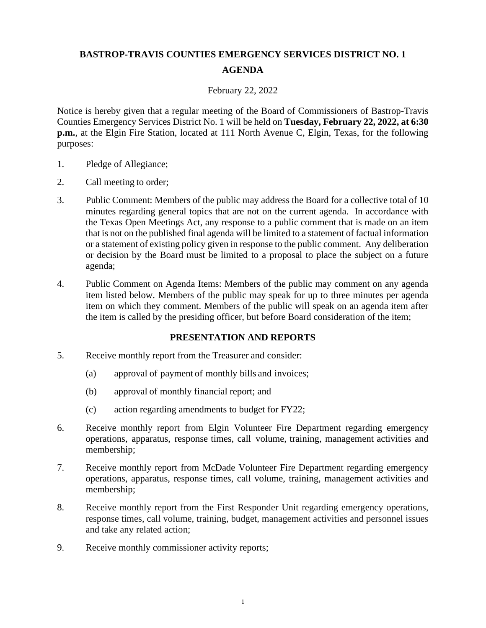## **BASTROP-TRAVIS COUNTIES EMERGENCY SERVICES DISTRICT NO. 1 AGENDA**

## February 22, 2022

Notice is hereby given that a regular meeting of the Board of Commissioners of Bastrop-Travis Counties Emergency Services District No. 1 will be held on **Tuesday, February 22, 2022, at 6:30 p.m.**, at the Elgin Fire Station, located at 111 North Avenue C, Elgin, Texas, for the following purposes:

- 1. Pledge of Allegiance;
- 2. Call meeting to order;
- 3. Public Comment: Members of the public may address the Board for a collective total of 10 minutes regarding general topics that are not on the current agenda. In accordance with the Texas Open Meetings Act, any response to a public comment that is made on an item that is not on the published final agenda will be limited to a statement of factual information or a statement of existing policy given in response to the public comment. Any deliberation or decision by the Board must be limited to a proposal to place the subject on a future agenda;
- 4. Public Comment on Agenda Items: Members of the public may comment on any agenda item listed below. Members of the public may speak for up to three minutes per agenda item on which they comment. Members of the public will speak on an agenda item after the item is called by the presiding officer, but before Board consideration of the item;

## **PRESENTATION AND REPORTS**

- 5. Receive monthly report from the Treasurer and consider:
	- (a) approval of payment of monthly bills and invoices;
	- (b) approval of monthly financial report; and
	- (c) action regarding amendments to budget for FY22;
- 6. Receive monthly report from Elgin Volunteer Fire Department regarding emergency operations, apparatus, response times, call volume, training, management activities and membership;
- 7. Receive monthly report from McDade Volunteer Fire Department regarding emergency operations, apparatus, response times, call volume, training, management activities and membership;
- 8. Receive monthly report from the First Responder Unit regarding emergency operations, response times, call volume, training, budget, management activities and personnel issues and take any related action;
- 9. Receive monthly commissioner activity reports;